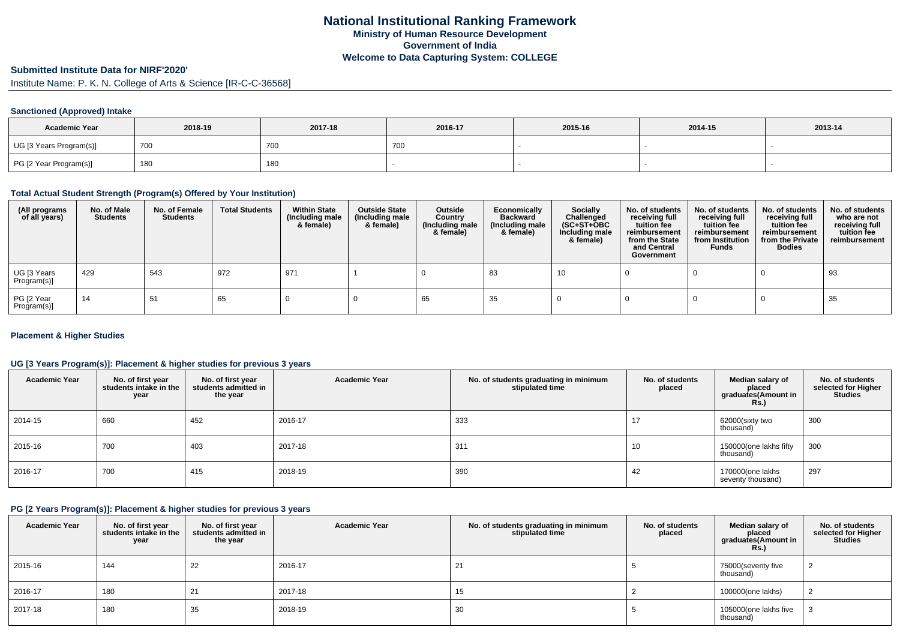# **Submitted Institute Data for NIRF'2020'**

Institute Name: P. K. N. College of Arts & Science [IR-C-C-36568]

## **Sanctioned (Approved) Intake**

| <b>Academic Year</b>    | 2018-19 | 2017-18    | 2016-17 | 2015-16 | 2014-15 | 2013-14 |
|-------------------------|---------|------------|---------|---------|---------|---------|
| UG [3 Years Program(s)] | 700     | <b>700</b> | 7. UU   |         |         |         |
| PG [2 Year Program(s)]  | 180     | 180        |         |         |         |         |

#### **Total Actual Student Strength (Program(s) Offered by Your Institution)**

| (All programs<br>of all years) | No. of Male<br><b>Students</b> | No. of Female<br><b>Students</b> | <b>Total Students</b> | <b>Within State</b><br>(Including male<br>& female) | <b>Outside State</b><br>(Including male<br>& female) | Outside<br>Country<br>(Including male<br>& female) | Economically<br><b>Backward</b><br>(Including male<br>& female) | <b>Socially</b><br>Challenged<br>$(SC+ST+OBC)$<br>Including male<br>& female) | No. of students<br>receiving full<br>tuition fee<br>reimbursement<br>from the State<br>and Central<br>Government | No. of students<br>receiving full<br>tuition fee<br>reimbursement<br>from Institution<br><b>Funds</b> | No. of students<br>receiving full<br>tuition fee<br>reimbursement<br>from the Private<br><b>Bodies</b> | No. of students<br>who are not<br>receiving full<br>tuition fee<br>reimbursement |
|--------------------------------|--------------------------------|----------------------------------|-----------------------|-----------------------------------------------------|------------------------------------------------------|----------------------------------------------------|-----------------------------------------------------------------|-------------------------------------------------------------------------------|------------------------------------------------------------------------------------------------------------------|-------------------------------------------------------------------------------------------------------|--------------------------------------------------------------------------------------------------------|----------------------------------------------------------------------------------|
| UG [3 Years<br>Program(s)]     | 429                            | 543                              | 972                   | 971                                                 |                                                      |                                                    | 83                                                              | 10                                                                            |                                                                                                                  |                                                                                                       |                                                                                                        | 93                                                                               |
| PG [2 Year<br>Program(s)]      | 14                             | 51                               | 65                    |                                                     |                                                      | 65                                                 | 35                                                              |                                                                               |                                                                                                                  |                                                                                                       |                                                                                                        | 35                                                                               |

## **Placement & Higher Studies**

## **UG [3 Years Program(s)]: Placement & higher studies for previous 3 years**

| <b>Academic Year</b> | No. of first year<br>students intake in the<br>year | No. of first year<br>students admitted in<br>the year | <b>Academic Year</b> | No. of students graduating in minimum<br>stipulated time | No. of students<br>placed | Median salary of<br>placed<br>graduates(Amount in<br><b>Rs.)</b> | No. of students<br>selected for Higher<br><b>Studies</b> |
|----------------------|-----------------------------------------------------|-------------------------------------------------------|----------------------|----------------------------------------------------------|---------------------------|------------------------------------------------------------------|----------------------------------------------------------|
| 2014-15              | 660                                                 | 452                                                   | 2016-17              | 333                                                      | 17                        | 62000(sixty two<br>thousand)                                     | 300                                                      |
| 2015-16              | 700                                                 | 403                                                   | 2017-18              | 311                                                      | 10                        | 150000(one lakhs fifty<br>thousand)                              | 300                                                      |
| 2016-17              | 700                                                 | 415                                                   | 2018-19              | 390                                                      | 42                        | 170000(one lakhs<br>seventy thousand)                            | 297                                                      |

## **PG [2 Years Program(s)]: Placement & higher studies for previous 3 years**

| <b>Academic Year</b> | No. of first year<br>students intake in the<br>year | No. of first year<br>students admitted in<br>the year | <b>Academic Year</b> | No. of students graduating in minimum<br>stipulated time | No. of students<br>placed | Median salary of<br>placed<br>graduates(Amount in<br><b>Rs.</b> ) | No. of students<br>selected for Higher<br><b>Studies</b> |
|----------------------|-----------------------------------------------------|-------------------------------------------------------|----------------------|----------------------------------------------------------|---------------------------|-------------------------------------------------------------------|----------------------------------------------------------|
| 2015-16              | 144                                                 | 22                                                    | 2016-17              | 21                                                       |                           | 75000(seventy five<br>thousand)                                   |                                                          |
| 2016-17              | 180                                                 | 21                                                    | 2017-18              | 15                                                       |                           | 100000(one lakhs)                                                 |                                                          |
| 2017-18              | 180                                                 | 35                                                    | 2018-19              | 30                                                       |                           | 105000(one lakhs five<br>thousand)                                |                                                          |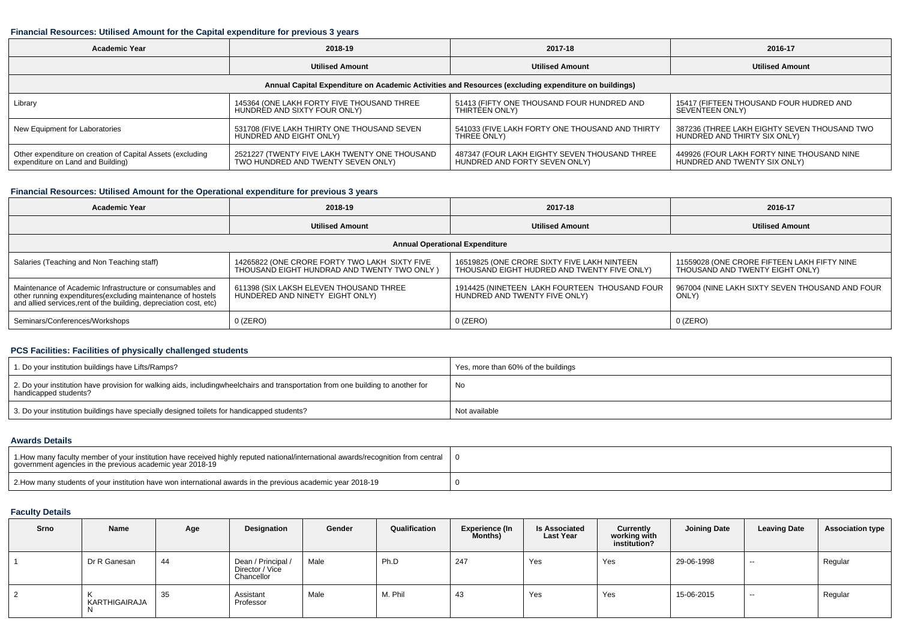#### **Financial Resources: Utilised Amount for the Capital expenditure for previous 3 years**

| <b>Academic Year</b>                                                                                 | 2018-19                                       | 2017-18                                         | 2016-17                                      |  |  |  |  |  |  |  |  |
|------------------------------------------------------------------------------------------------------|-----------------------------------------------|-------------------------------------------------|----------------------------------------------|--|--|--|--|--|--|--|--|
|                                                                                                      | <b>Utilised Amount</b>                        | <b>Utilised Amount</b>                          | <b>Utilised Amount</b>                       |  |  |  |  |  |  |  |  |
| Annual Capital Expenditure on Academic Activities and Resources (excluding expenditure on buildings) |                                               |                                                 |                                              |  |  |  |  |  |  |  |  |
| Library                                                                                              | 145364 (ONE LAKH FORTY FIVE THOUSAND THREE    | 51413 (FIFTY ONE THOUSAND FOUR HUNDRED AND      | 15417 (FIFTEEN THOUSAND FOUR HUDRED AND      |  |  |  |  |  |  |  |  |
|                                                                                                      | HUNDRED AND SIXTY FOUR ONLY)                  | THIRTEEN ONLY)                                  | SEVENTEEN ONLY)                              |  |  |  |  |  |  |  |  |
| New Equipment for Laboratories                                                                       | 531708 (FIVE LAKH THIRTY ONE THOUSAND SEVEN   | 541033 (FIVE LAKH FORTY ONE THOUSAND AND THIRTY | 387236 (THREE LAKH EIGHTY SEVEN THOUSAND TWO |  |  |  |  |  |  |  |  |
|                                                                                                      | HUNDRED AND EIGHT ONLY)                       | THREE ONLY)                                     | HUNDRED AND THIRTY SIX ONLY)                 |  |  |  |  |  |  |  |  |
| Other expenditure on creation of Capital Assets (excluding                                           | 2521227 (TWENTY FIVE LAKH TWENTY ONE THOUSAND | 487347 (FOUR LAKH EIGHTY SEVEN THOUSAND THREE   | 449926 (FOUR LAKH FORTY NINE THOUSAND NINE   |  |  |  |  |  |  |  |  |
| expenditure on Land and Building)                                                                    | TWO HUNDRED AND TWENTY SEVEN ONLY)            | HUNDRED AND FORTY SEVEN ONLY)                   | HUNDRED AND TWENTY SIX ONLY)                 |  |  |  |  |  |  |  |  |

# **Financial Resources: Utilised Amount for the Operational expenditure for previous 3 years**

| Academic Year                                                                                                                                                                                   | 2018-19                                                                                       | 2017-18                                                                                    | 2016-17                                                                        |  |  |  |  |  |  |  |  |
|-------------------------------------------------------------------------------------------------------------------------------------------------------------------------------------------------|-----------------------------------------------------------------------------------------------|--------------------------------------------------------------------------------------------|--------------------------------------------------------------------------------|--|--|--|--|--|--|--|--|
|                                                                                                                                                                                                 | <b>Utilised Amount</b>                                                                        | <b>Utilised Amount</b>                                                                     | <b>Utilised Amount</b>                                                         |  |  |  |  |  |  |  |  |
| <b>Annual Operational Expenditure</b>                                                                                                                                                           |                                                                                               |                                                                                            |                                                                                |  |  |  |  |  |  |  |  |
| Salaries (Teaching and Non Teaching staff)                                                                                                                                                      | 14265822 (ONE CRORE FORTY TWO LAKH SIXTY FIVE<br>THOUSAND EIGHT HUNDRAD AND TWENTY TWO ONLY ) | 16519825 (ONE CRORE SIXTY FIVE LAKH NINTEEN<br>THOUSAND EIGHT HUDRED AND TWENTY FIVE ONLY) | 11559028 (ONE CRORE FIFTEEN LAKH FIFTY NINE<br>THOUSAND AND TWENTY EIGHT ONLY) |  |  |  |  |  |  |  |  |
| Maintenance of Academic Infrastructure or consumables and<br>other running expenditures (excluding maintenance of hostels<br>and allied services, rent of the building, depreciation cost, etc) | 611398 (SIX LAKSH ELEVEN THOUSAND THREE<br>HUNDERED AND NINETY EIGHT ONLY)                    | 1914425 (NINETEEN LAKH FOURTEEN THOUSAND FOUR<br>HUNDRED AND TWENTY FIVE ONLY)             | 967004 (NINE LAKH SIXTY SEVEN THOUSAND AND FOUR<br>ONLY)                       |  |  |  |  |  |  |  |  |
| Seminars/Conferences/Workshops                                                                                                                                                                  | $0$ (ZERO)                                                                                    | $0$ (ZERO)                                                                                 | 0 (ZERO)                                                                       |  |  |  |  |  |  |  |  |

# **PCS Facilities: Facilities of physically challenged students**

| 1. Do your institution buildings have Lifts/Ramps?                                                                                                        | Yes, more than 60% of the buildings |
|-----------------------------------------------------------------------------------------------------------------------------------------------------------|-------------------------------------|
| 2. Do your institution have provision for walking aids, includingwheelchairs and transportation from one building to another for<br>handicapped students? | No                                  |
| 3. Do your institution buildings have specially designed toilets for handicapped students?                                                                | Not available                       |

#### **Awards Details**

| 1. How many faculty member of your institution have received highly reputed national/international awards/recognition from central<br>government agencies in the previous academic year 2018-19 |  |
|-------------------------------------------------------------------------------------------------------------------------------------------------------------------------------------------------|--|
| 2. How many students of your institution have won international awards in the previous academic year 2018-19                                                                                    |  |

# **Faculty Details**

| Srno | Name                | Age | Designation                                         | Gender | Qualification | <b>Experience (In</b><br>Months) | <b>Is Associated</b><br><b>Last Year</b> | Currently<br>working with<br>institution? | <b>Joining Date</b> | <b>Leaving Date</b> | <b>Association type</b> |
|------|---------------------|-----|-----------------------------------------------------|--------|---------------|----------------------------------|------------------------------------------|-------------------------------------------|---------------------|---------------------|-------------------------|
|      | Dr R Ganesan        | 44  | Dean / Principal /<br>Director / Vice<br>Chancellor | Male   | Ph.D          | 247                              | Yes                                      | Yes                                       | 29-06-1998          | $- -$               | Regular                 |
|      | KARTHIGAIRAJA<br>N. | 35  | Assistant<br>Professor                              | Male   | M. Phil       | 43                               | Yes                                      | Yes                                       | 15-06-2015          | $- -$               | Regular                 |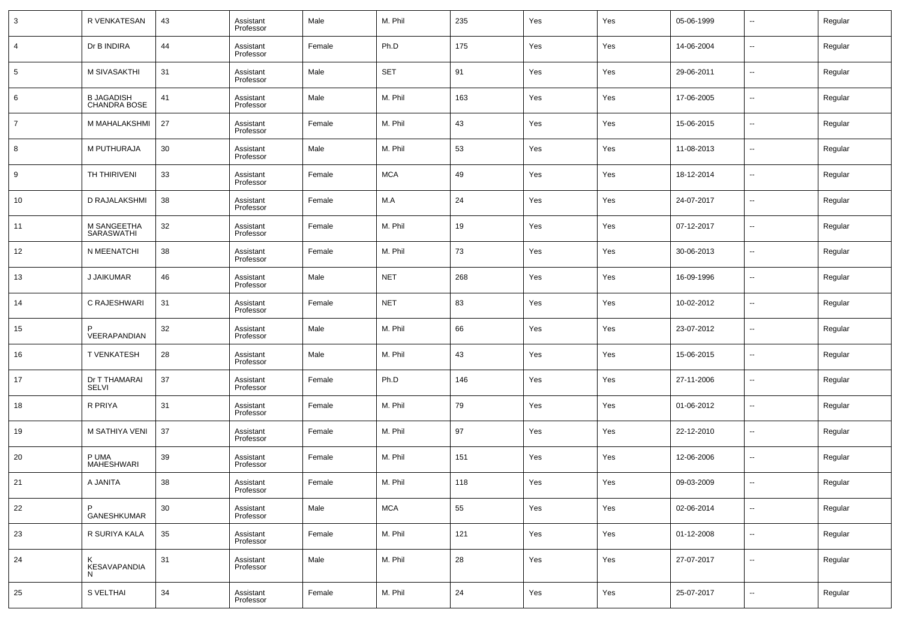| 3              | R VENKATESAN                      | 43 | Assistant<br>Professor | Male   | M. Phil    | 235 | Yes | Yes | 05-06-1999 | $\overline{\phantom{a}}$ | Regular |
|----------------|-----------------------------------|----|------------------------|--------|------------|-----|-----|-----|------------|--------------------------|---------|
| 4              | Dr B INDIRA                       | 44 | Assistant<br>Professor | Female | Ph.D       | 175 | Yes | Yes | 14-06-2004 | $\overline{\phantom{a}}$ | Regular |
| 5              | M SIVASAKTHI                      | 31 | Assistant<br>Professor | Male   | <b>SET</b> | 91  | Yes | Yes | 29-06-2011 | $\overline{\phantom{a}}$ | Regular |
| 6              | <b>B JAGADISH</b><br>CHANDRA BOSE | 41 | Assistant<br>Professor | Male   | M. Phil    | 163 | Yes | Yes | 17-06-2005 | $\overline{\phantom{a}}$ | Regular |
| $\overline{7}$ | M MAHALAKSHMI                     | 27 | Assistant<br>Professor | Female | M. Phil    | 43  | Yes | Yes | 15-06-2015 | $\overline{\phantom{a}}$ | Regular |
| 8              | M PUTHURAJA                       | 30 | Assistant<br>Professor | Male   | M. Phil    | 53  | Yes | Yes | 11-08-2013 | $\overline{\phantom{a}}$ | Regular |
| 9              | TH THIRIVENI                      | 33 | Assistant<br>Professor | Female | <b>MCA</b> | 49  | Yes | Yes | 18-12-2014 | $\overline{\phantom{a}}$ | Regular |
| 10             | D RAJALAKSHMI                     | 38 | Assistant<br>Professor | Female | M.A        | 24  | Yes | Yes | 24-07-2017 | $\overline{\phantom{a}}$ | Regular |
| 11             | M SANGEETHA<br><b>SARASWATHI</b>  | 32 | Assistant<br>Professor | Female | M. Phil    | 19  | Yes | Yes | 07-12-2017 | $\overline{\phantom{a}}$ | Regular |
| 12             | N MEENATCHI                       | 38 | Assistant<br>Professor | Female | M. Phil    | 73  | Yes | Yes | 30-06-2013 | $\overline{\phantom{a}}$ | Regular |
| 13             | J JAIKUMAR                        | 46 | Assistant<br>Professor | Male   | <b>NET</b> | 268 | Yes | Yes | 16-09-1996 | $\overline{\phantom{a}}$ | Regular |
| 14             | C RAJESHWARI                      | 31 | Assistant<br>Professor | Female | <b>NET</b> | 83  | Yes | Yes | 10-02-2012 | $\overline{\phantom{a}}$ | Regular |
| 15             | P<br>VEERAPANDIAN                 | 32 | Assistant<br>Professor | Male   | M. Phil    | 66  | Yes | Yes | 23-07-2012 | $\overline{\phantom{a}}$ | Regular |
| 16             | <b>T VENKATESH</b>                | 28 | Assistant<br>Professor | Male   | M. Phil    | 43  | Yes | Yes | 15-06-2015 | $\overline{\phantom{a}}$ | Regular |
| 17             | Dr T THAMARAI<br><b>SELVI</b>     | 37 | Assistant<br>Professor | Female | Ph.D       | 146 | Yes | Yes | 27-11-2006 | $\overline{\phantom{a}}$ | Regular |
| 18             | R PRIYA                           | 31 | Assistant<br>Professor | Female | M. Phil    | 79  | Yes | Yes | 01-06-2012 | $\overline{\phantom{a}}$ | Regular |
| 19             | M SATHIYA VENI                    | 37 | Assistant<br>Professor | Female | M. Phil    | 97  | Yes | Yes | 22-12-2010 | $\overline{\phantom{a}}$ | Regular |
| 20             | P UMA<br><b>MAHESHWARI</b>        | 39 | Assistant<br>Professor | Female | M. Phil    | 151 | Yes | Yes | 12-06-2006 | $\overline{\phantom{a}}$ | Regular |
| 21             | A JANITA                          | 38 | Assistant<br>Professor | Female | M. Phil    | 118 | Yes | Yes | 09-03-2009 | $\overline{\phantom{a}}$ | Regular |
| 22             | P<br><b>GANESHKUMAR</b>           | 30 | Assistant<br>Professor | Male   | <b>MCA</b> | 55  | Yes | Yes | 02-06-2014 | $\overline{\phantom{a}}$ | Regular |
| 23             | R SURIYA KALA                     | 35 | Assistant<br>Professor | Female | M. Phil    | 121 | Yes | Yes | 01-12-2008 | $\overline{\phantom{a}}$ | Regular |
| 24             | Κ<br><b>KESAVAPANDIA</b><br>N     | 31 | Assistant<br>Professor | Male   | M. Phil    | 28  | Yes | Yes | 27-07-2017 | $\overline{\phantom{a}}$ | Regular |
| 25             | S VELTHAI                         | 34 | Assistant<br>Professor | Female | M. Phil    | 24  | Yes | Yes | 25-07-2017 | ۰.                       | Regular |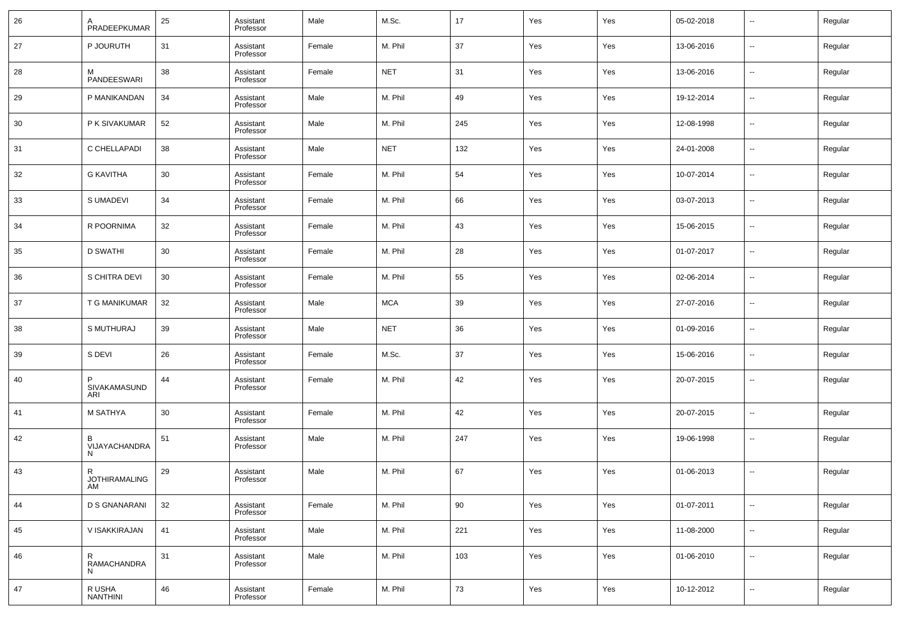| 26 | A<br>PRADEEPKUMAR               | 25 | Assistant<br>Professor | Male   | M.Sc.      | 17  | Yes | Yes | 05-02-2018 | $\overline{\phantom{a}}$ | Regular |
|----|---------------------------------|----|------------------------|--------|------------|-----|-----|-----|------------|--------------------------|---------|
| 27 | P JOURUTH                       | 31 | Assistant<br>Professor | Female | M. Phil    | 37  | Yes | Yes | 13-06-2016 | $\overline{\phantom{a}}$ | Regular |
| 28 | м<br><b>PANDEESWARI</b>         | 38 | Assistant<br>Professor | Female | <b>NET</b> | 31  | Yes | Yes | 13-06-2016 | $\overline{\phantom{a}}$ | Regular |
| 29 | P MANIKANDAN                    | 34 | Assistant<br>Professor | Male   | M. Phil    | 49  | Yes | Yes | 19-12-2014 | $\overline{\phantom{a}}$ | Regular |
| 30 | P K SIVAKUMAR                   | 52 | Assistant<br>Professor | Male   | M. Phil    | 245 | Yes | Yes | 12-08-1998 | $\overline{\phantom{a}}$ | Regular |
| 31 | C CHELLAPADI                    | 38 | Assistant<br>Professor | Male   | <b>NET</b> | 132 | Yes | Yes | 24-01-2008 | $\overline{\phantom{a}}$ | Regular |
| 32 | <b>G KAVITHA</b>                | 30 | Assistant<br>Professor | Female | M. Phil    | 54  | Yes | Yes | 10-07-2014 | $\overline{\phantom{a}}$ | Regular |
| 33 | S UMADEVI                       | 34 | Assistant<br>Professor | Female | M. Phil    | 66  | Yes | Yes | 03-07-2013 | $\overline{\phantom{a}}$ | Regular |
| 34 | R POORNIMA                      | 32 | Assistant<br>Professor | Female | M. Phil    | 43  | Yes | Yes | 15-06-2015 | $\overline{\phantom{a}}$ | Regular |
| 35 | <b>D SWATHI</b>                 | 30 | Assistant<br>Professor | Female | M. Phil    | 28  | Yes | Yes | 01-07-2017 | $\overline{\phantom{a}}$ | Regular |
| 36 | S CHITRA DEVI                   | 30 | Assistant<br>Professor | Female | M. Phil    | 55  | Yes | Yes | 02-06-2014 | $\overline{\phantom{a}}$ | Regular |
| 37 | T G MANIKUMAR                   | 32 | Assistant<br>Professor | Male   | <b>MCA</b> | 39  | Yes | Yes | 27-07-2016 | $\overline{\phantom{a}}$ | Regular |
| 38 | S MUTHURAJ                      | 39 | Assistant<br>Professor | Male   | <b>NET</b> | 36  | Yes | Yes | 01-09-2016 | $\overline{\phantom{a}}$ | Regular |
| 39 | S DEVI                          | 26 | Assistant<br>Professor | Female | M.Sc.      | 37  | Yes | Yes | 15-06-2016 | $\overline{\phantom{a}}$ | Regular |
| 40 | P<br>SIVAKAMASUND<br>ARI        | 44 | Assistant<br>Professor | Female | M. Phil    | 42  | Yes | Yes | 20-07-2015 | $\overline{\phantom{a}}$ | Regular |
| 41 | M SATHYA                        | 30 | Assistant<br>Professor | Female | M. Phil    | 42  | Yes | Yes | 20-07-2015 | --                       | Regular |
| 42 | В<br>VIJAYACHANDRA<br>N         | 51 | Assistant<br>Professor | Male   | M. Phil    | 247 | Yes | Yes | 19-06-1998 | --                       | Regular |
| 43 | R<br><b>JOTHIRAMALING</b><br>AM | 29 | Assistant<br>Professor | Male   | M. Phil    | 67  | Yes | Yes | 01-06-2013 | $\overline{\phantom{a}}$ | Regular |
| 44 | D S GNANARANI                   | 32 | Assistant<br>Professor | Female | M. Phil    | 90  | Yes | Yes | 01-07-2011 | $\overline{\phantom{a}}$ | Regular |
| 45 | V ISAKKIRAJAN                   | 41 | Assistant<br>Professor | Male   | M. Phil    | 221 | Yes | Yes | 11-08-2000 | $\sim$                   | Regular |
| 46 | R<br>RAMACHANDRA<br>N           | 31 | Assistant<br>Professor | Male   | M. Phil    | 103 | Yes | Yes | 01-06-2010 | $\sim$                   | Regular |
| 47 | R USHA<br>NANTHINI              | 46 | Assistant<br>Professor | Female | M. Phil    | 73  | Yes | Yes | 10-12-2012 | $\overline{\phantom{a}}$ | Regular |